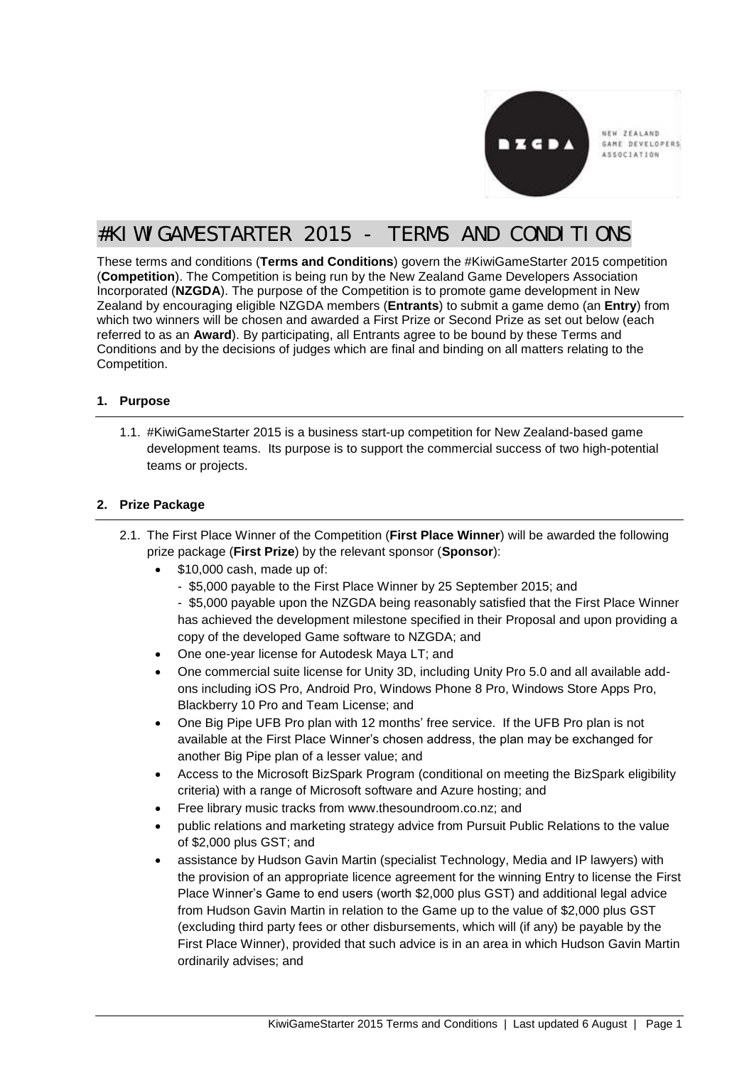

NEW ZEALAND GAME DEVELOPERS ASSOCIATION

# #KIWIGAMESTARTER 2015 - TERMS AND CONDITIONS

These terms and conditions (**Terms and Conditions**) govern the #KiwiGameStarter 2015 competition (**Competition**). The Competition is being run by the New Zealand Game Developers Association Incorporated (**NZGDA**). The purpose of the Competition is to promote game development in New Zealand by encouraging eligible NZGDA members (**Entrants**) to submit a game demo (an **Entry**) from which two winners will be chosen and awarded a First Prize or Second Prize as set out below (each referred to as an **Award**). By participating, all Entrants agree to be bound by these Terms and Conditions and by the decisions of judges which are final and binding on all matters relating to the Competition.

## **1. Purpose**

1.1. #KiwiGameStarter 2015 is a business start-up competition for New Zealand-based game development teams. Its purpose is to support the commercial success of two high-potential teams or projects.

## **2. Prize Package**

- 2.1. The First Place Winner of the Competition (**First Place Winner**) will be awarded the following prize package (**First Prize**) by the relevant sponsor (**Sponsor**):
	- \$10,000 cash, made up of:
		- \$5,000 payable to the First Place Winner by 25 September 2015; and

- \$5,000 payable upon the NZGDA being reasonably satisfied that the First Place Winner has achieved the development milestone specified in their Proposal and upon providing a copy of the developed Game software to NZGDA; and

- One one-year license for Autodesk Maya LT; and
- One commercial suite license for Unity 3D, including Unity Pro 5.0 and all available addons including iOS Pro, Android Pro, Windows Phone 8 Pro, Windows Store Apps Pro, Blackberry 10 Pro and Team License; and
- One Big Pipe UFB Pro plan with 12 months' free service. If the UFB Pro plan is not available at the First Place Winner's chosen address, the plan may be exchanged for another Big Pipe plan of a lesser value; and
- Access to the Microsoft BizSpark Program (conditional on meeting the BizSpark eligibility criteria) with a range of Microsoft software and Azure hosting; and
- Free library music tracks from www.thesoundroom.co.nz; and
- public relations and marketing strategy advice from Pursuit Public Relations to the value of \$2,000 plus GST; and
- assistance by Hudson Gavin Martin (specialist Technology, Media and IP lawyers) with the provision of an appropriate licence agreement for the winning Entry to license the First Place Winner's Game to end users (worth \$2,000 plus GST) and additional legal advice from Hudson Gavin Martin in relation to the Game up to the value of \$2,000 plus GST (excluding third party fees or other disbursements, which will (if any) be payable by the First Place Winner), provided that such advice is in an area in which Hudson Gavin Martin ordinarily advises; and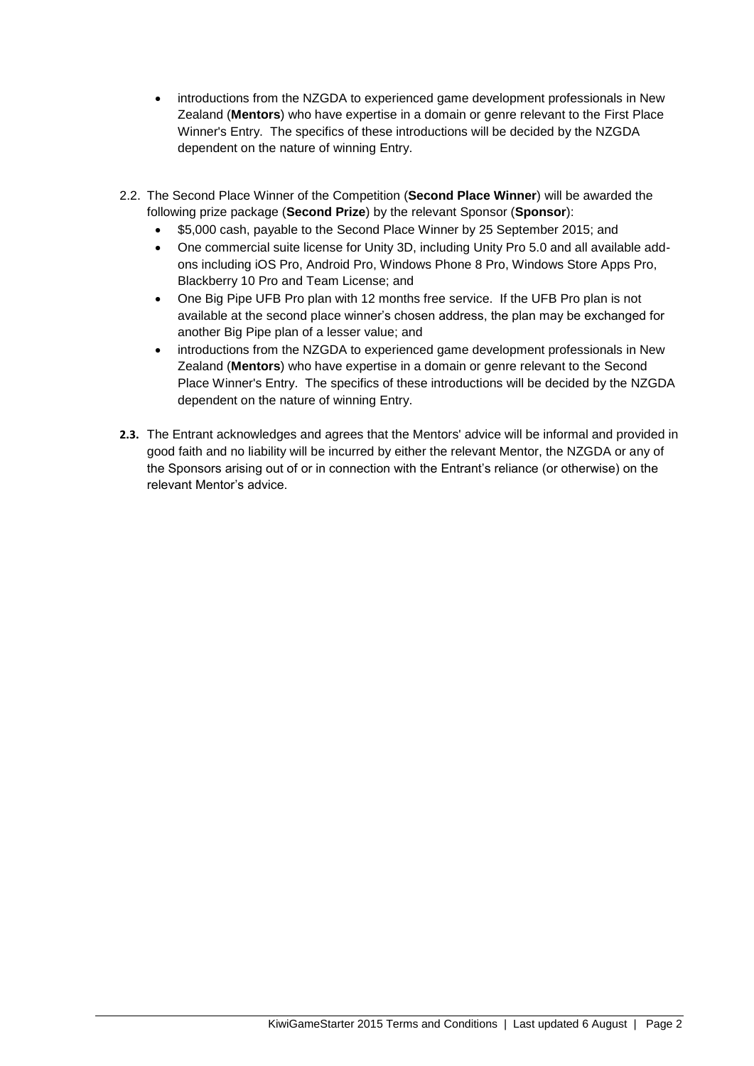- introductions from the NZGDA to experienced game development professionals in New Zealand (**Mentors**) who have expertise in a domain or genre relevant to the First Place Winner's Entry. The specifics of these introductions will be decided by the NZGDA dependent on the nature of winning Entry.
- 2.2. The Second Place Winner of the Competition (**Second Place Winner**) will be awarded the following prize package (**Second Prize**) by the relevant Sponsor (**Sponsor**):
	- \$5,000 cash, payable to the Second Place Winner by 25 September 2015; and
	- One commercial suite license for Unity 3D, including Unity Pro 5.0 and all available addons including iOS Pro, Android Pro, Windows Phone 8 Pro, Windows Store Apps Pro, Blackberry 10 Pro and Team License; and
	- One Big Pipe UFB Pro plan with 12 months free service. If the UFB Pro plan is not available at the second place winner's chosen address, the plan may be exchanged for another Big Pipe plan of a lesser value; and
	- introductions from the NZGDA to experienced game development professionals in New Zealand (**Mentors**) who have expertise in a domain or genre relevant to the Second Place Winner's Entry. The specifics of these introductions will be decided by the NZGDA dependent on the nature of winning Entry.
- **2.3.** The Entrant acknowledges and agrees that the Mentors' advice will be informal and provided in good faith and no liability will be incurred by either the relevant Mentor, the NZGDA or any of the Sponsors arising out of or in connection with the Entrant's reliance (or otherwise) on the relevant Mentor's advice.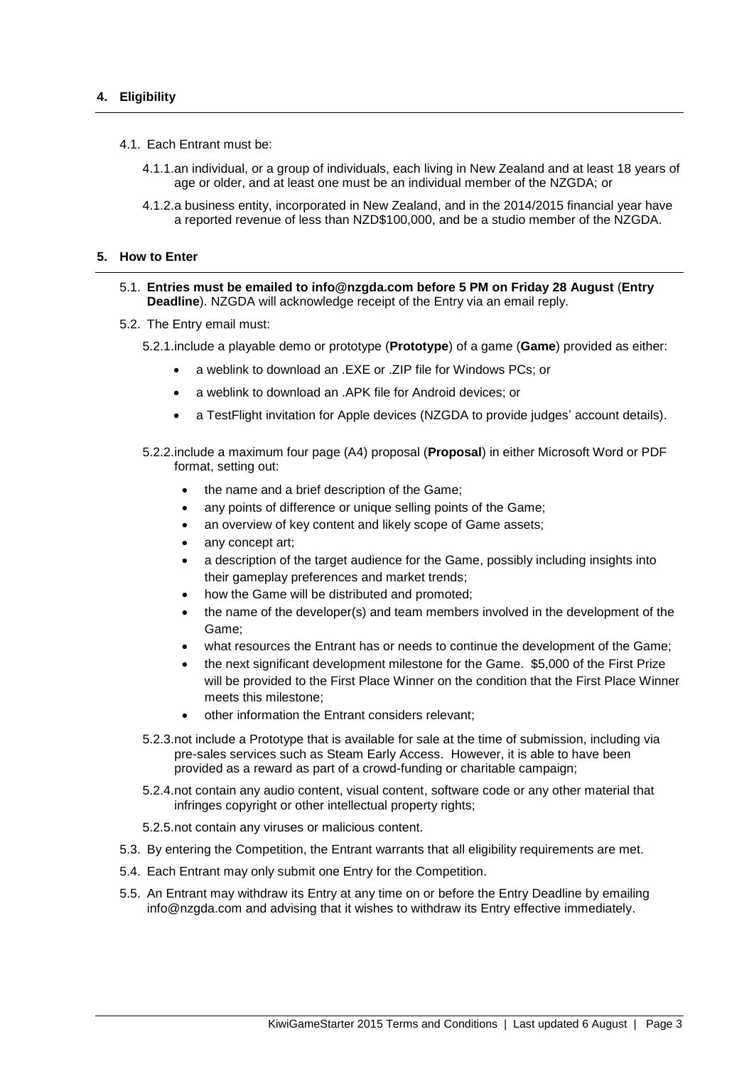- 4.1. Each Entrant must be:
	- 4.1.1.an individual, or a group of individuals, each living in New Zealand and at least 18 years of age or older, and at least one must be an individual member of the NZGDA; or
	- 4.1.2.a business entity, incorporated in New Zealand, and in the 2014/2015 financial year have a reported revenue of less than NZD\$100,000, and be a studio member of the NZGDA.

#### **5. How to Enter**

- 5.1. **Entries must be emailed to info@nzgda.com before 5 PM on Friday 28 August** (**Entry Deadline**). NZGDA will acknowledge receipt of the Entry via an email reply.
- 5.2. The Entry email must:
	- 5.2.1.include a playable demo or prototype (**Prototype**) of a game (**Game**) provided as either:
		- a weblink to download an .EXE or .ZIP file for Windows PCs; or
		- a weblink to download an .APK file for Android devices; or
		- a TestFlight invitation for Apple devices (NZGDA to provide judges' account details).
	- 5.2.2.include a maximum four page (A4) proposal (**Proposal**) in either Microsoft Word or PDF format, setting out:
		- the name and a brief description of the Game;
		- any points of difference or unique selling points of the Game;
		- an overview of key content and likely scope of Game assets;
		- any concept art;
		- a description of the target audience for the Game, possibly including insights into their gameplay preferences and market trends;
		- how the Game will be distributed and promoted;
		- the name of the developer(s) and team members involved in the development of the Game;
		- what resources the Entrant has or needs to continue the development of the Game;
		- the next significant development milestone for the Game. \$5,000 of the First Prize will be provided to the First Place Winner on the condition that the First Place Winner meets this milestone;
		- other information the Entrant considers relevant;
	- 5.2.3.not include a Prototype that is available for sale at the time of submission, including via pre-sales services such as Steam Early Access. However, it is able to have been provided as a reward as part of a crowd-funding or charitable campaign;
	- 5.2.4.not contain any audio content, visual content, software code or any other material that infringes copyright or other intellectual property rights;
	- 5.2.5.not contain any viruses or malicious content.
- 5.3. By entering the Competition, the Entrant warrants that all eligibility requirements are met.
- 5.4. Each Entrant may only submit one Entry for the Competition.
- 5.5. An Entrant may withdraw its Entry at any time on or before the Entry Deadline by emailing info@nzgda.com and advising that it wishes to withdraw its Entry effective immediately.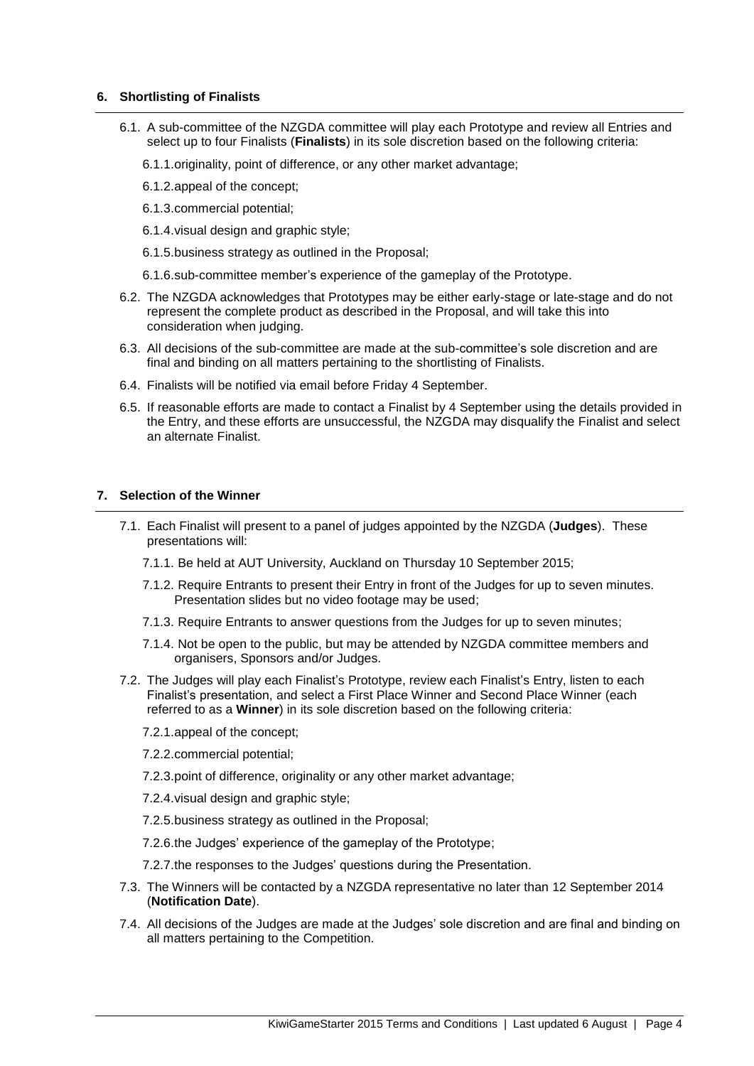#### **6. Shortlisting of Finalists**

- 6.1. A sub-committee of the NZGDA committee will play each Prototype and review all Entries and select up to four Finalists (**Finalists**) in its sole discretion based on the following criteria:
	- 6.1.1.originality, point of difference, or any other market advantage;
	- 6.1.2.appeal of the concept;
	- 6.1.3.commercial potential;
	- 6.1.4.visual design and graphic style;
	- 6.1.5.business strategy as outlined in the Proposal;
	- 6.1.6.sub-committee member's experience of the gameplay of the Prototype.
- 6.2. The NZGDA acknowledges that Prototypes may be either early-stage or late-stage and do not represent the complete product as described in the Proposal, and will take this into consideration when judging.
- 6.3. All decisions of the sub-committee are made at the sub-committee's sole discretion and are final and binding on all matters pertaining to the shortlisting of Finalists.
- 6.4. Finalists will be notified via email before Friday 4 September.
- 6.5. If reasonable efforts are made to contact a Finalist by 4 September using the details provided in the Entry, and these efforts are unsuccessful, the NZGDA may disqualify the Finalist and select an alternate Finalist.

### **7. Selection of the Winner**

- 7.1. Each Finalist will present to a panel of judges appointed by the NZGDA (**Judges**). These presentations will:
	- 7.1.1. Be held at AUT University, Auckland on Thursday 10 September 2015;
	- 7.1.2. Require Entrants to present their Entry in front of the Judges for up to seven minutes. Presentation slides but no video footage may be used;
	- 7.1.3. Require Entrants to answer questions from the Judges for up to seven minutes;
	- 7.1.4. Not be open to the public, but may be attended by NZGDA committee members and organisers, Sponsors and/or Judges.
- 7.2. The Judges will play each Finalist's Prototype, review each Finalist's Entry, listen to each Finalist's presentation, and select a First Place Winner and Second Place Winner (each referred to as a **Winner**) in its sole discretion based on the following criteria:
	- 7.2.1.appeal of the concept;
	- 7.2.2.commercial potential;
	- 7.2.3.point of difference, originality or any other market advantage;
	- 7.2.4.visual design and graphic style;
	- 7.2.5.business strategy as outlined in the Proposal;
	- 7.2.6.the Judges' experience of the gameplay of the Prototype;
	- 7.2.7.the responses to the Judges' questions during the Presentation.
- 7.3. The Winners will be contacted by a NZGDA representative no later than 12 September 2014 (**Notification Date**).
- 7.4. All decisions of the Judges are made at the Judges' sole discretion and are final and binding on all matters pertaining to the Competition.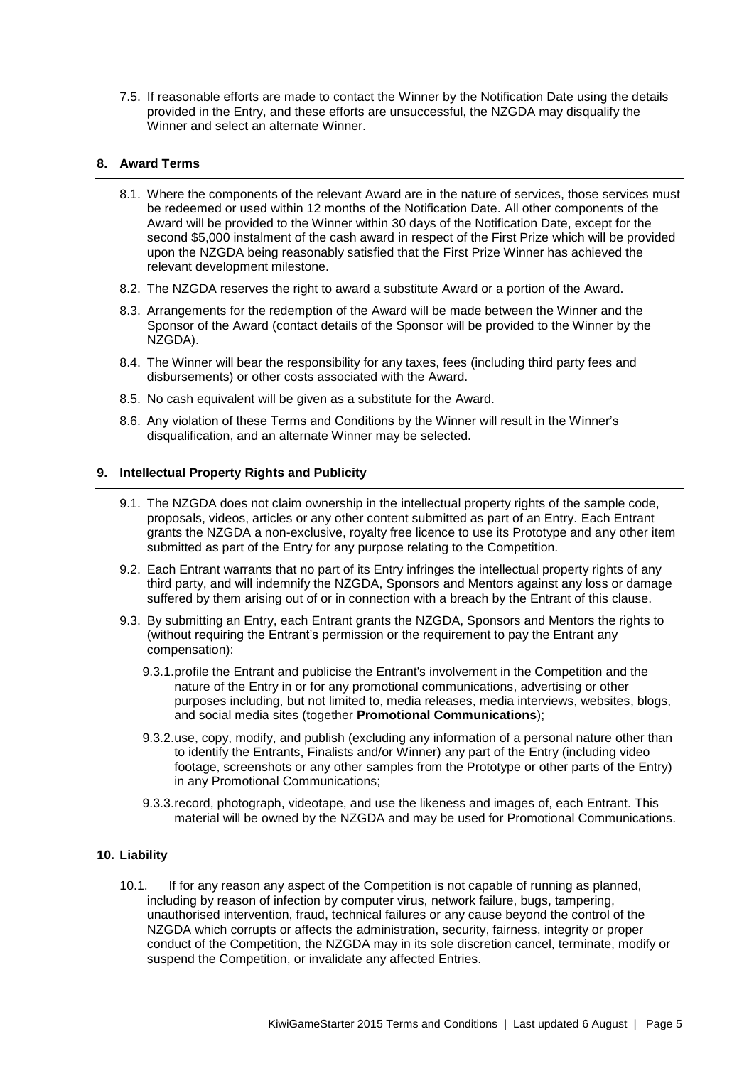7.5. If reasonable efforts are made to contact the Winner by the Notification Date using the details provided in the Entry, and these efforts are unsuccessful, the NZGDA may disqualify the Winner and select an alternate Winner.

## **8. Award Terms**

- 8.1. Where the components of the relevant Award are in the nature of services, those services must be redeemed or used within 12 months of the Notification Date. All other components of the Award will be provided to the Winner within 30 days of the Notification Date, except for the second \$5,000 instalment of the cash award in respect of the First Prize which will be provided upon the NZGDA being reasonably satisfied that the First Prize Winner has achieved the relevant development milestone.
- 8.2. The NZGDA reserves the right to award a substitute Award or a portion of the Award.
- 8.3. Arrangements for the redemption of the Award will be made between the Winner and the Sponsor of the Award (contact details of the Sponsor will be provided to the Winner by the NZGDA).
- 8.4. The Winner will bear the responsibility for any taxes, fees (including third party fees and disbursements) or other costs associated with the Award.
- 8.5. No cash equivalent will be given as a substitute for the Award.
- 8.6. Any violation of these Terms and Conditions by the Winner will result in the Winner's disqualification, and an alternate Winner may be selected.

## **9. Intellectual Property Rights and Publicity**

- 9.1. The NZGDA does not claim ownership in the intellectual property rights of the sample code, proposals, videos, articles or any other content submitted as part of an Entry. Each Entrant grants the NZGDA a non-exclusive, royalty free licence to use its Prototype and any other item submitted as part of the Entry for any purpose relating to the Competition.
- 9.2. Each Entrant warrants that no part of its Entry infringes the intellectual property rights of any third party, and will indemnify the NZGDA, Sponsors and Mentors against any loss or damage suffered by them arising out of or in connection with a breach by the Entrant of this clause.
- 9.3. By submitting an Entry, each Entrant grants the NZGDA, Sponsors and Mentors the rights to (without requiring the Entrant's permission or the requirement to pay the Entrant any compensation):
	- 9.3.1.profile the Entrant and publicise the Entrant's involvement in the Competition and the nature of the Entry in or for any promotional communications, advertising or other purposes including, but not limited to, media releases, media interviews, websites, blogs, and social media sites (together **Promotional Communications**);
	- 9.3.2.use, copy, modify, and publish (excluding any information of a personal nature other than to identify the Entrants, Finalists and/or Winner) any part of the Entry (including video footage, screenshots or any other samples from the Prototype or other parts of the Entry) in any Promotional Communications;
	- 9.3.3.record, photograph, videotape, and use the likeness and images of, each Entrant. This material will be owned by the NZGDA and may be used for Promotional Communications.

## **10. Liability**

10.1. If for any reason any aspect of the Competition is not capable of running as planned, including by reason of infection by computer virus, network failure, bugs, tampering, unauthorised intervention, fraud, technical failures or any cause beyond the control of the NZGDA which corrupts or affects the administration, security, fairness, integrity or proper conduct of the Competition, the NZGDA may in its sole discretion cancel, terminate, modify or suspend the Competition, or invalidate any affected Entries.